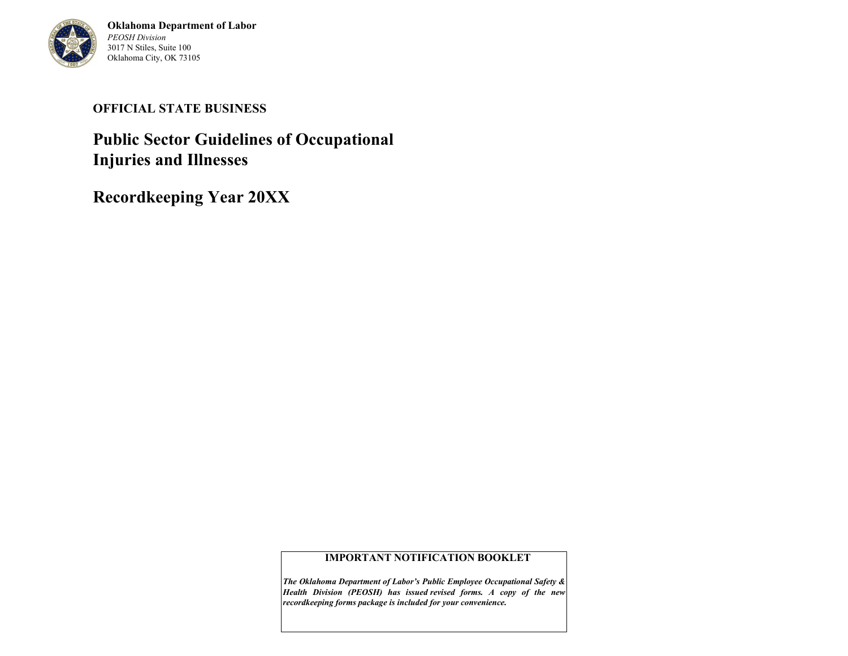

**Oklahoma Department of Labor** *PEOSH Division* 3017 N Stiles, Suite 100 Oklahoma City, OK 73105

### **OFFICIAL STATE BUSINESS**

**Public Sector Guidelines of Occupational Injuries and Illnesses**

**Recordkeeping Year 20XX**

#### **IMPORTANT NOTIFICATION BOOKLET**

*The Oklahoma Department of Labor's Public Employee Occupational Safety & Health Division (PEOSH) has issued revised forms. A copy of the new recordkeeping forms package is included for your convenience.*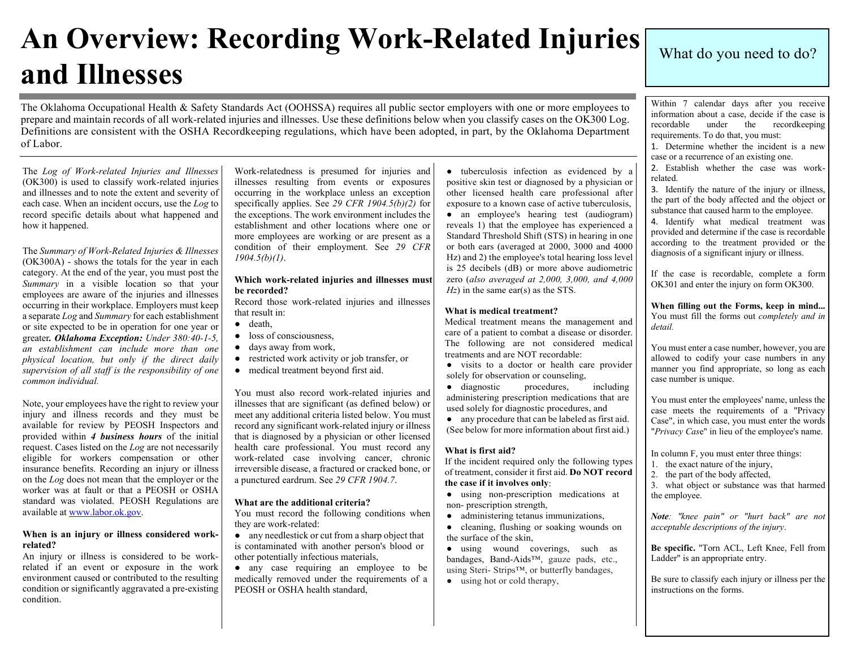# **An Overview: Recording Work-Related Injuries and Illnesses**

The Oklahoma Occupational Health & Safety Standards Act (OOHSSA) requires all public sector employers with one or more employees to prepare and maintain records of all work-related injuries and illnesses. Use these definitions below when you classify cases on the OK300 Log. Definitions are consistent with the OSHA Recordkeeping regulations, which have been adopted, in part, by the Oklahoma Department of Labor.

The *Log of Work-related Injuries and Illnesses*  (OK300) is used to classify work-related injuries and illnesses and to note the extent and severity of each case. When an incident occurs, use the *Log* to record specific details about what happened and how it happened.

The *Summary of Work-Related Injuries & Illnesses* (OK300A) - shows the totals for the year in each category. At the end of the year, you must post the *Summary* in a visible location so that your employees are aware of the injuries and illnesses occurring in their workplace. Employers must keep a separate *Log* and *Summary* for each establishment or site expected to be in operation for one year or greater*. Oklahoma Exception: Under 380:40-1-5, an establishment can include more than one physical location, but only if the direct daily supervision of all staff is the responsibility of one common individual.*

Note, your employees have the right to review your injury and illness records and they must be available for review by PEOSH Inspectors and provided within *4 business hours* of the initial request. Cases listed on the *Log* are not necessarily eligible for workers compensation or other insurance benefits. Recording an injury or illness on the *Log* does not mean that the employer or the worker was at fault or that a PEOSH or OSHA standard was violated. PEOSH Regulations are available a[t www.labor.ok.gov.](http://www.labor.ok.gov/)

#### **When is an injury or illness considered workrelated?**

An injury or illness is considered to be workrelated if an event or exposure in the work environment caused or contributed to the resulting condition or significantly aggravated a pre-existing condition.

Work-relatedness is presumed for injuries and illnesses resulting from events or exposures occurring in the workplace unless an exception specifically applies. See *29 CFR 1904.5(b)(2)* for the exceptions. The work environment includes the establishment and other locations where one or more employees are working or are present as a condition of their employment. See *29 CFR 1904.5(b)(1)*.

#### **Which work-related injuries and illnesses must be recorded?**

Record those work-related injuries and illnesses that result in:

- death,
- loss of consciousness,
- days away from work,
- restricted work activity or job transfer, or
- medical treatment beyond first aid.

You must also record work-related injuries and illnesses that are significant (as defined below) or meet any additional criteria listed below. You must record any significant work-related injury or illness that is diagnosed by a physician or other licensed health care professional. You must record any work-related case involving cancer, chronic irreversible disease, a fractured or cracked bone, or a punctured eardrum. See *29 CFR 1904.7*.

#### **What are the additional criteria?**

You must record the following conditions when they are work-related:

• any needlestick or cut from a sharp object that is contaminated with another person's blood or other potentially infectious materials,

● any case requiring an employee to be medically removed under the requirements of a PEOSH or OSHA health standard,

● tuberculosis infection as evidenced by a positive skin test or diagnosed by a physician or other licensed health care professional after exposure to a known case of active tuberculosis,

• an employee's hearing test (audiogram) reveals 1) that the employee has experienced a Standard Threshold Shift (STS) in hearing in one or both ears (averaged at 2000, 3000 and 4000 Hz) and 2) the employee's total hearing loss level is 25 decibels (dB) or more above audiometric zero (*also averaged at 2,000, 3,000, and 4,000 Hz*) in the same ear(s) as the STS.

#### **What is medical treatment?**

Medical treatment means the management and care of a patient to combat a disease or disorder. The following are not considered medical treatments and are NOT recordable:

- visits to a doctor or health care provider solely for observation or counseling,
- diagnostic procedures, including administering prescription medications that are used solely for diagnostic procedures, and

● any procedure that can be labeled as first aid. (See below for more information about first aid.)

#### **What is first aid?**

If the incident required only the following types of treatment, consider it first aid. **Do NOT record the case if it involves only**:

- using non-prescription medications at non- prescription strength,
- administering tetanus immunizations,
- cleaning, flushing or soaking wounds on the surface of the skin,
- using wound coverings, such as bandages, Band-Aids™, gauze pads, etc., using Steri- Strips™, or butterfly bandages,
- using hot or cold therapy,

Within 7 calendar days after you receive information about a case, decide if the case is recordable under the recordkeeping requirements. To do that, you must:

1. Determine whether the incident is a new case or a recurrence of an existing one.

2. Establish whether the case was workrelated.

3. Identify the nature of the injury or illness, the part of the body affected and the object or substance that caused harm to the employee.

4. Identify what medical treatment was provided and determine if the case is recordable according to the treatment provided or the diagnosis of a significant injury or illness.

If the case is recordable, complete a form OK301 and enter the injury on form OK300.

**When filling out the Forms, keep in mind...**  You must fill the forms out *completely and in detail.*

You must enter a case number, however, you are allowed to codify your case numbers in any manner you find appropriate, so long as each case number is unique.

You must enter the employees' name, unless the case meets the requirements of a "Privacy Case", in which case, you must enter the words "*Privacy Cas*e" in lieu of the employee's name.

In column F, you must enter three things:

- 1. the exact nature of the injury,
- 2. the part of the body affected,

3. what object or substance was that harmed the employee.

*Note: "knee pain" or "hurt back" are not acceptable descriptions of the injury*.

**Be specific.** "Torn ACL, Left Knee, Fell from Ladder" is an appropriate entry.

Be sure to classify each injury or illness per the instructions on the forms.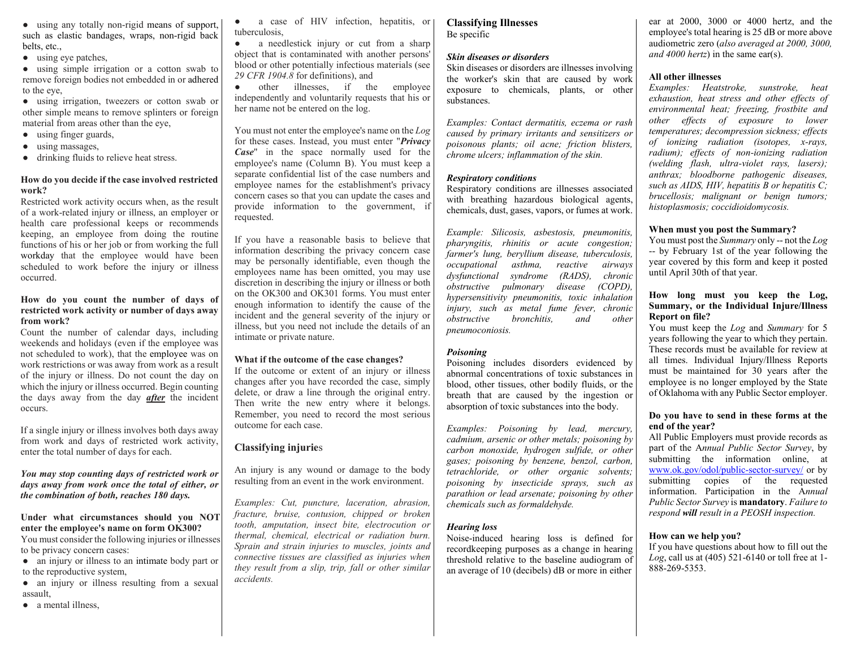● using any totally non-rigid means of support, such as elastic bandages, wraps, non-rigid back belts, etc.,

• using eye patches,

● using simple irrigation or a cotton swab to remove foreign bodies not embedded in or adhered to the eye,

● using irrigation, tweezers or cotton swab or other simple means to remove splinters or foreign material from areas other than the eye,

- using finger guards,
- using massages,
- drinking fluids to relieve heat stress.

#### **How do you decide if the case involved restricted work?**

Restricted work activity occurs when, as the result of a work-related injury or illness, an employer or health care professional keeps or recommends keeping, an employee from doing the routine functions of his or her job or from working the full workday that the employee would have been scheduled to work before the injury or illness occurred.

#### **How do you count the number of days of restricted work activity or number of days away from work?**

Count the number of calendar days, including weekends and holidays (even if the employee was not scheduled to work), that the employee was on work restrictions or was away from work as a result of the injury or illness. Do not count the day on which the injury or illness occurred. Begin counting the days away from the day *after* the incident occurs.

If a single injury or illness involves both days away from work and days of restricted work activity, enter the total number of days for each.

*You may stop counting days of restricted work or days away from work once the total of either, or the combination of both, reaches 180 days.*

#### **Under what circumstances should you NOT enter the employee's name on form OK300?**

You must consider the following injuries or illnesses to be privacy concern cases:

- an injury or illness to an intimate body part or to the reproductive system,
- an injury or illness resulting from a sexual assault,
- a mental illness.

a case of HIV infection, hepatitis, or tuberculosis,

● a needlestick injury or cut from a sharp object that is contaminated with another persons' blood or other potentially infectious materials (see *29 CFR 1904.8* for definitions), and

other illnesses, if the employee independently and voluntarily requests that his or her name not be entered on the log.

You must not enter the employee's name on the *Log*  for these cases. Instead, you must enter "*Privacy Case*" in the space normally used for the employee's name (Column B). You must keep a separate confidential list of the case numbers and employee names for the establishment's privacy concern cases so that you can update the cases and provide information to the government, if requested.

If you have a reasonable basis to believe that information describing the privacy concern case may be personally identifiable, even though the employees name has been omitted, you may use discretion in describing the injury or illness or both on the OK300 and OK301 forms. You must enter enough information to identify the cause of the incident and the general severity of the injury or illness, but you need not include the details of an intimate or private nature.

#### **What if the outcome of the case changes?**

If the outcome or extent of an injury or illness changes after you have recorded the case, simply delete, or draw a line through the original entry. Then write the new entry where it belongs. Remember, you need to record the most serious outcome for each case.

#### **Classifying injurie**s

An injury is any wound or damage to the body resulting from an event in the work environment.

*Examples: Cut, puncture, laceration, abrasion, fracture, bruise, contusion, chipped or broken tooth, amputation, insect bite, electrocution or thermal, chemical, electrical or radiation burn. Sprain and strain injuries to muscles, joints and connective tissues are classified as injuries when they result from a slip, trip, fall or other similar accidents.*

#### **Classifying Illnesses** Be specific

#### *Skin diseases or disorders*

Skin diseases or disorders are illnesses involving the worker's skin that are caused by work exposure to chemicals, plants, or other substances.

*Examples: Contact dermatitis, eczema or rash caused by primary irritants and sensitizers or poisonous plants; oil acne; friction blisters, chrome ulcers; inflammation of the skin.*

#### *Respiratory conditions*

Respiratory conditions are illnesses associated with breathing hazardous biological agents, chemicals, dust, gases, vapors, or fumes at work.

*Example: Silicosis, asbestosis, pneumonitis, pharyngitis, rhinitis or acute congestion; farmer's lung, beryllium disease, tuberculosis, occupational asthma, reactive airways dysfunctional syndrome (RADS), chronic obstructive pulmonary disease (COPD), hypersensitivity pneumonitis, toxic inhalation injury, such as metal fume fever, chronic obstructive bronchitis, and pneumoconiosis.*

#### *Poisoning*

Poisoning includes disorders evidenced by abnormal concentrations of toxic substances in blood, other tissues, other bodily fluids, or the breath that are caused by the ingestion or absorption of toxic substances into the body.

*Examples: Poisoning by lead, mercury, cadmium, arsenic or other metals; poisoning by carbon monoxide, hydrogen sulfide, or other gases; poisoning by benzene, benzol, carbon, tetrachloride, or other organic solvents; poisoning by insecticide sprays, such as parathion or lead arsenate; poisoning by other chemicals such as formaldehyde.*

#### *Hearing loss*

Noise-induced hearing loss is defined for recordkeeping purposes as a change in hearing threshold relative to the baseline audiogram of an average of 10 (decibels) dB or more in either

ear at 2000, 3000 or 4000 hertz, and the employee's total hearing is 25 dB or more above audiometric zero (*also averaged at 2000, 3000, and 4000 hertz*) in the same ear(s).

#### **All other illnesses**

*Examples: Heatstroke, sunstroke, heat exhaustion, heat stress and other effects of environmental heat; freezing, frostbite and other effects of exposure to lower temperatures; decompression sickness; effects of ionizing radiation (isotopes, x-rays, radium); effects of non-ionizing radiation (welding flash, ultra-violet rays, lasers); anthrax; bloodborne pathogenic diseases, such as AIDS, HIV, hepatitis B or hepatitis C; brucellosis; malignant or benign tumors; histoplasmosis; coccidioidomycosis.*

#### **When must you post the Summary?**

You must post the *Summary* only -- not the *Log*  -- by February 1st of the year following the year covered by this form and keep it posted until April 30th of that year.

#### **How long must you keep the Log, Summary, or the Individual Injure/Illness Report on file?**

You must keep the *Log* and *Summary* for 5 years following the year to which they pertain. These records must be available for review at all times. Individual Injury/Illness Reports must be maintained for 30 years after the employee is no longer employed by the State of Oklahoma with any Public Sector employer.

#### **Do you have to send in these forms at the end of the year?**

All Public Employers must provide records as part of the A*nnual Public Sector Survey*, by submitting the information online, at [www.ok.gov/odol/public-sector-survey/](http://www.ok.gov/odol/public-sector-survey/) or by submitting copies of the requested information. Participation in the A*nnual Public Sector Survey* is **mandatory**. *Failure to respond will result in a PEOSH inspection.*

#### **How can we help you?**

If you have questions about how to fill out the *Log*, call us at (405) 521-6140 or toll free at 1- 888-269-5353.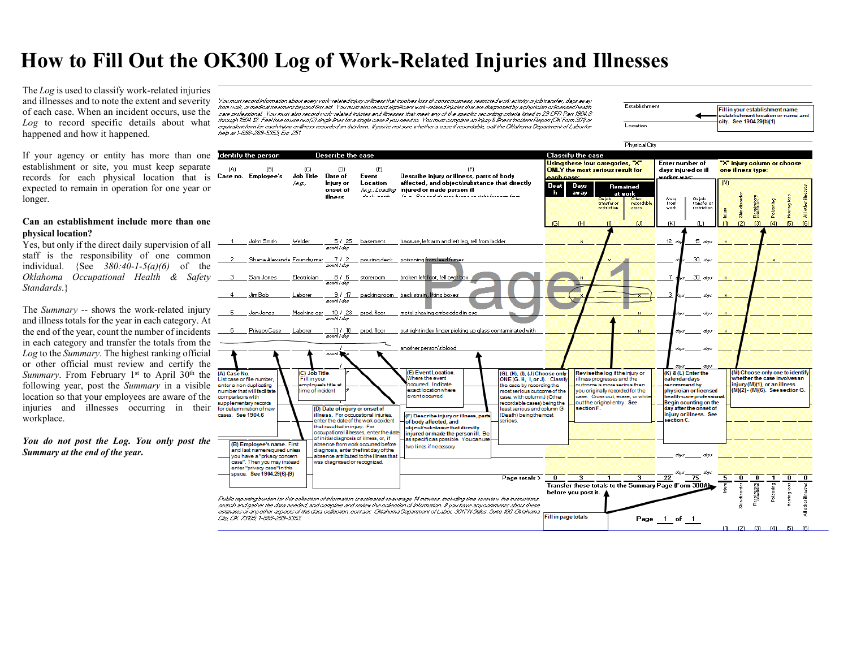## **How to Fill Out the OK300 Log of Work-Related Injuries and Illnesses**

The *Log* is used to classify work-related injuries and illnesses and to note the extent and severity of each case. When an incident occurs, use the *Log* to record specific details about what happened and how it happened.

If your agency or entity has more than one establishment or site, you must keep separate records for each physical location that is expected to remain in operation for one year or longer.

#### **Can an establishment include more than one physical location?**

Yes, but only if the direct daily supervision of all staff is the responsibility of one common individual. {See *380:40-1-5(a)(6)* of the *Oklahoma Occupational Health & Safety Standards*.}

The *Summary* -- shows the work-related injury and illness totals for the year in each category. At the end of the year, count the number of incidents in each category and transfer the totals from the *Log* to the *Summary*. The highest ranking official or other official must review and certify the *Summary*. From February 1<sup>st</sup> to April 30<sup>th</sup> the following year, post the *Summary* in a visible location so that your employees are aware of the injuries and illnesses occurring in their workplace.

*You do not post the Log. You only post the Summary at the end of the year***.**

.<br>You must record information about every work-related injury or illness that involves loss of consciousness, restricted work activity or job transfer, days away hom work, or medioal treatment beyond hist aid. You must also record significant work-related injuries that are diagnosed by a physician or licensed health care professional. You must also record work-related injuries and illnesses that meet any of the specific recording criteria listed in 29 CFR Part 1904.8 though 1904. 12. Feel hee to use two (2) single lines for a single case if you need to. You must complete an Injury & Illness Incident Report (OK Form 301) or equivalent form for each injury or illness recorded on this form. If you're not sure whether a case if recordable, call the Oklahoma Department of Labor for hab at 1-888-269-5353 Fut 251



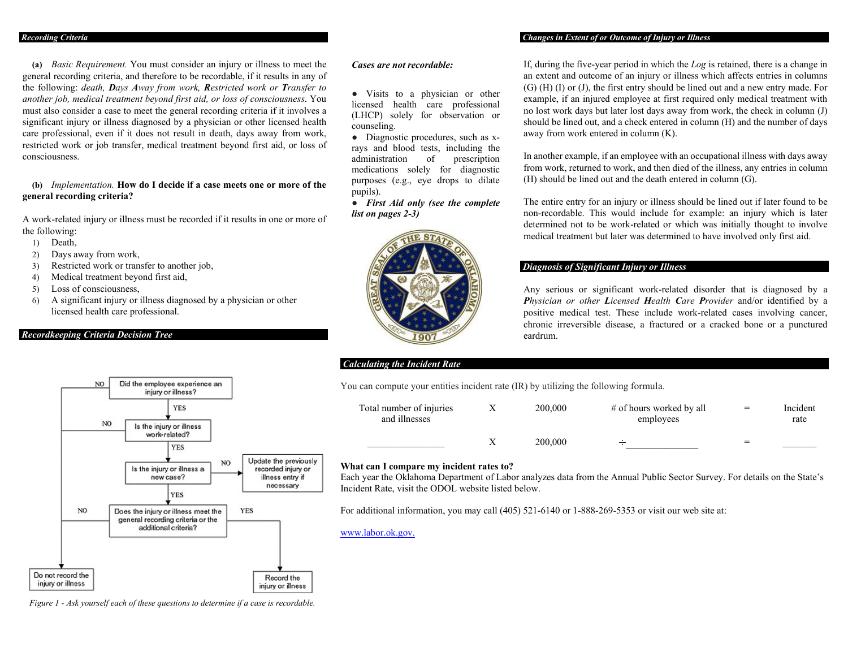#### **(a)** *Basic Requirement.* You must consider an injury or illness to meet the general recording criteria, and therefore to be recordable, if it results in any of the following: *death, Days Away from work, Restricted work or Transfer to another job, medical treatment beyond first aid, or loss of consciousness*. You must also consider a case to meet the general recording criteria if it involves a significant injury or illness diagnosed by a physician or other licensed health care professional, even if it does not result in death, days away from work, restricted work or job transfer, medical treatment beyond first aid, or loss of consciousness.

#### **(b)** *Implementation.* **How do I decide if a case meets one or more of the general recording criteria?**

A work-related injury or illness must be recorded if it results in one or more of the following:

#### 1) Death,

- 2) Days away from work,
- 3) Restricted work or transfer to another job,
- 4) Medical treatment beyond first aid,
- 5) Loss of consciousness,
- 6) A significant injury or illness diagnosed by a physician or other licensed health care professional.

#### *Recordkeeping Criteria Decision Tree*



- Visits to a physician or other licensed health care professional (LHCP) solely for observation or counseling.
- Diagnostic procedures, such as xrays and blood tests, including the administration of prescription medications solely for diagnostic purposes (e.g., eye drops to dilate pupils).
- *● First Aid only (see the complete list on pages 2-3)*



#### *Recording Criteria Changes in Extent of or Outcome of Injury or Illness*

If, during the five-year period in which the *Log* is retained, there is a change in an extent and outcome of an injury or illness which affects entries in columns (G) (H) (I) or (J), the first entry should be lined out and a new entry made. For example, if an injured employee at first required only medical treatment with no lost work days but later lost days away from work, the check in column (J) should be lined out, and a check entered in column (H) and the number of days away from work entered in column (K).

In another example, if an employee with an occupational illness with days away from work, returned to work, and then died of the illness, any entries in column (H) should be lined out and the death entered in column (G).

The entire entry for an injury or illness should be lined out if later found to be non-recordable. This would include for example: an injury which is later determined not to be work-related or which was initially thought to involve medical treatment but later was determined to have involved only first aid.

#### *Diagnosis of Significant Injury or Illness*

Any serious or significant work-related disorder that is diagnosed by a *Physician or other Licensed Health Care Provider* and/or identified by a positive medical test. These include work-related cases involving cancer, chronic irreversible disease, a fractured or a cracked bone or a punctured eardrum.

#### *Calculating the Incident Rate*

You can compute your entities incident rate (IR) by utilizing the following formula.

| Total number of injuries<br>and illnesses | 200,000 | # of hours worked by all<br>employees | $=$ | Incident<br>rate |
|-------------------------------------------|---------|---------------------------------------|-----|------------------|
|                                           | 200,000 |                                       | =   |                  |

#### **What can I compare my incident rates to?**

Each year the Oklahoma Department of Labor analyzes data from the Annual Public Sector Survey. For details on the State's Incident Rate, visit the ODOL website listed below.

For additional information, you may call (405) 521-6140 or 1-888-269-5353 or visit our web site at:

[www.labor.ok.gov.](http://www.labor.ok.gov/)



*Figure 1 - Ask yourself each of these questions to determine if a case is recordable.*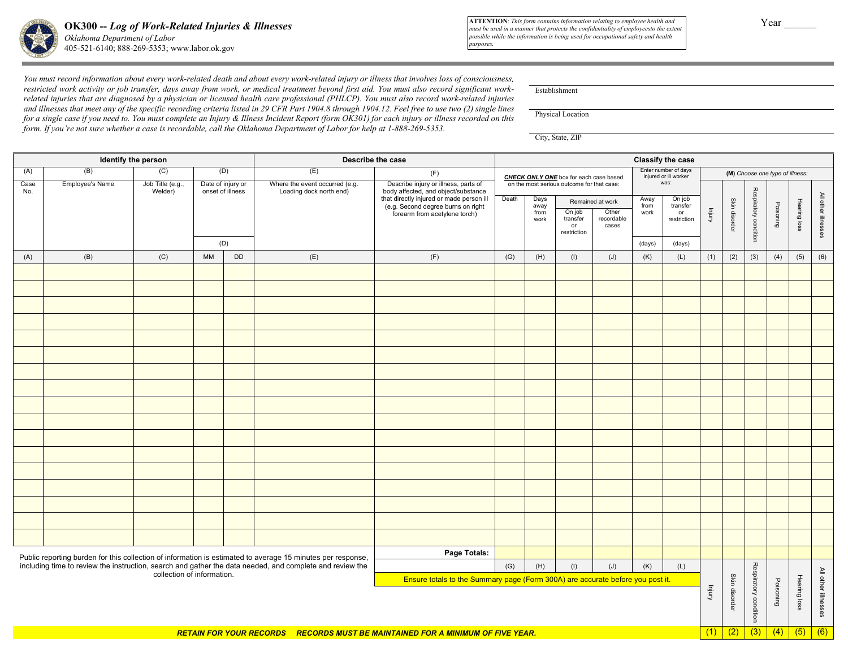

**OK300 --** *Log of Work-Related Injuries & Illnesses Oklahoma Department of Labor* 405-521-6140; 888-269-5353[; www.labor.ok.gov](http://www.labor.ok.gov/)

**ATTENTION**: *This form contains information relating to employee health and must be used in a manner that protects the confidentiality of employeesto the extent possible while the information is being used for occupational safety and health purposes.*

*You must record information about every work-related death and about every work-related injury or illness that involves loss of consciousness, restricted work activity or job transfer, days away from work, or medical treatment beyond first aid. You must also record significant workrelated injuries that are diagnosed by a physician or licensed health care professional (PHLCP). You must also record work-related injuries and illnesses that meet any of the specific recording criteria listed in 29 CFR Part 1904.8 through 1904.12. Feel free to use two (2) single lines for a single case if you need to. You must complete an Injury & Illness Incident Report (form OK301) for each injury or illness recorded on this form. If you're not sure whether a case is recordable, call the Oklahoma Department of Labor for help at 1-888-269-5353.*

Establishment

Physical Location

City, State, ZIP

| Identify the person                                                                                                                                                                                                                                   |                        |                            | Describe the case |                                              |                                                           | Classify the case                                                                                                                                                                              |       |                                                                                             |                                         |                                                  |                                               |                                                           |       |                      |                                 |           |              |                     |  |
|-------------------------------------------------------------------------------------------------------------------------------------------------------------------------------------------------------------------------------------------------------|------------------------|----------------------------|-------------------|----------------------------------------------|-----------------------------------------------------------|------------------------------------------------------------------------------------------------------------------------------------------------------------------------------------------------|-------|---------------------------------------------------------------------------------------------|-----------------------------------------|--------------------------------------------------|-----------------------------------------------|-----------------------------------------------------------|-------|----------------------|---------------------------------|-----------|--------------|---------------------|--|
| (A)                                                                                                                                                                                                                                                   | (B)                    | (C)                        | (D)               |                                              | (E)                                                       | (F)                                                                                                                                                                                            |       | <b>CHECK ONLY ONE</b> box for each case based<br>on the most serious outcome for that case: |                                         |                                                  | Enter number of days<br>injured or ill worker |                                                           |       |                      | (M) Choose one type of illness: |           |              |                     |  |
| Case<br>No.                                                                                                                                                                                                                                           | <b>Employee's Name</b> | Job Title (e.g.<br>Welder) |                   | Date of injury or<br>onset of illness<br>(D) | Where the event occurred (e.g.<br>Loading dock north end) | Describe injury or illness, parts of<br>body affected, and object/substance<br>that directly injured or made person ill<br>(e.g. Second degree burns on right<br>forearm from acetylene torch) | Death | Days<br>away<br>from<br>work                                                                | On job<br>transfer<br>or<br>restriction | Remained at work<br>Other<br>recordable<br>cases | Away<br>from<br>work<br>(days)                | was:<br>On job<br>transfer<br>or<br>restriction<br>(days) | kunul | Skin disorder        | Respiratory condition           | Poisoning | Hearing loss | All other illnesses |  |
| (A)                                                                                                                                                                                                                                                   | (B)                    | (C)                        | <b>MM</b>         | <b>DD</b>                                    | (E)                                                       | (F)                                                                                                                                                                                            | (G)   | (H)                                                                                         | (1)                                     | $(\mathsf{U})$                                   | (K)                                           | (L)                                                       | (1)   | (2)                  | (3)                             | (4)       | (5)          | (6)                 |  |
|                                                                                                                                                                                                                                                       |                        |                            |                   |                                              |                                                           |                                                                                                                                                                                                |       |                                                                                             |                                         |                                                  |                                               |                                                           |       |                      |                                 |           |              |                     |  |
|                                                                                                                                                                                                                                                       |                        |                            |                   |                                              |                                                           |                                                                                                                                                                                                |       |                                                                                             |                                         |                                                  |                                               |                                                           |       |                      |                                 |           |              |                     |  |
|                                                                                                                                                                                                                                                       |                        |                            |                   |                                              |                                                           |                                                                                                                                                                                                |       |                                                                                             |                                         |                                                  |                                               |                                                           |       |                      |                                 |           |              |                     |  |
|                                                                                                                                                                                                                                                       |                        |                            |                   |                                              |                                                           |                                                                                                                                                                                                |       |                                                                                             |                                         |                                                  |                                               |                                                           |       |                      |                                 |           |              |                     |  |
|                                                                                                                                                                                                                                                       |                        |                            |                   |                                              |                                                           |                                                                                                                                                                                                |       |                                                                                             |                                         |                                                  |                                               |                                                           |       |                      |                                 |           |              |                     |  |
|                                                                                                                                                                                                                                                       |                        |                            |                   |                                              |                                                           |                                                                                                                                                                                                |       |                                                                                             |                                         |                                                  |                                               |                                                           |       |                      |                                 |           |              |                     |  |
|                                                                                                                                                                                                                                                       |                        |                            |                   |                                              |                                                           |                                                                                                                                                                                                |       |                                                                                             |                                         |                                                  |                                               |                                                           |       |                      |                                 |           |              |                     |  |
|                                                                                                                                                                                                                                                       |                        |                            |                   |                                              |                                                           |                                                                                                                                                                                                |       |                                                                                             |                                         |                                                  |                                               |                                                           |       |                      |                                 |           |              |                     |  |
|                                                                                                                                                                                                                                                       |                        |                            |                   |                                              |                                                           |                                                                                                                                                                                                |       |                                                                                             |                                         |                                                  |                                               |                                                           |       |                      |                                 |           |              |                     |  |
|                                                                                                                                                                                                                                                       |                        |                            |                   |                                              |                                                           |                                                                                                                                                                                                |       |                                                                                             |                                         |                                                  |                                               |                                                           |       |                      |                                 |           |              |                     |  |
|                                                                                                                                                                                                                                                       |                        |                            |                   |                                              |                                                           |                                                                                                                                                                                                |       |                                                                                             |                                         |                                                  |                                               |                                                           |       |                      |                                 |           |              |                     |  |
|                                                                                                                                                                                                                                                       |                        |                            |                   |                                              |                                                           |                                                                                                                                                                                                |       |                                                                                             |                                         |                                                  |                                               |                                                           |       |                      |                                 |           |              |                     |  |
|                                                                                                                                                                                                                                                       |                        |                            |                   |                                              |                                                           |                                                                                                                                                                                                |       |                                                                                             |                                         |                                                  |                                               |                                                           |       |                      |                                 |           |              |                     |  |
|                                                                                                                                                                                                                                                       |                        |                            |                   |                                              |                                                           |                                                                                                                                                                                                |       |                                                                                             |                                         |                                                  |                                               |                                                           |       |                      |                                 |           |              |                     |  |
|                                                                                                                                                                                                                                                       |                        |                            |                   |                                              |                                                           |                                                                                                                                                                                                |       |                                                                                             |                                         |                                                  |                                               |                                                           |       |                      |                                 |           |              |                     |  |
|                                                                                                                                                                                                                                                       |                        |                            |                   |                                              |                                                           |                                                                                                                                                                                                |       |                                                                                             |                                         |                                                  |                                               |                                                           |       |                      |                                 |           |              |                     |  |
|                                                                                                                                                                                                                                                       |                        |                            |                   |                                              |                                                           |                                                                                                                                                                                                |       |                                                                                             |                                         |                                                  |                                               |                                                           |       |                      |                                 |           |              |                     |  |
|                                                                                                                                                                                                                                                       |                        |                            |                   |                                              |                                                           | Page Totals:                                                                                                                                                                                   |       |                                                                                             |                                         |                                                  |                                               |                                                           |       |                      |                                 |           |              |                     |  |
| Public reporting burden for this collection of information is estimated to average 15 minutes per response,<br>including time to review the instruction, search and gather the data needed, and complete and review the<br>collection of information. |                        |                            |                   |                                              |                                                           | (G)                                                                                                                                                                                            | (H)   | (1)                                                                                         | (J)                                     | (K)                                              | (L)                                           |                                                           |       |                      |                                 |           |              |                     |  |
| Ensure totals to the Summary page (Form 300A) are accurate before you post it.                                                                                                                                                                        |                        |                            |                   |                                              |                                                           |                                                                                                                                                                                                |       |                                                                                             |                                         |                                                  |                                               |                                                           |       | Hearing              |                                 |           |              |                     |  |
|                                                                                                                                                                                                                                                       |                        |                            |                   |                                              |                                                           |                                                                                                                                                                                                |       |                                                                                             |                                         |                                                  |                                               |                                                           | yuly  | <b>Skin disorder</b> | Respiratory condition           | Poisoning | sso          | All other illnesses |  |
|                                                                                                                                                                                                                                                       |                        |                            |                   |                                              |                                                           | <b>RETAIN FOR YOUR RECORDS RECORDS MUST BE MAINTAINED FOR A MINIMUM OF FIVE YEAR.</b>                                                                                                          |       |                                                                                             |                                         |                                                  |                                               |                                                           | (1)   | (2)                  | (3)                             | (4)       | (5)          | (6)                 |  |

Year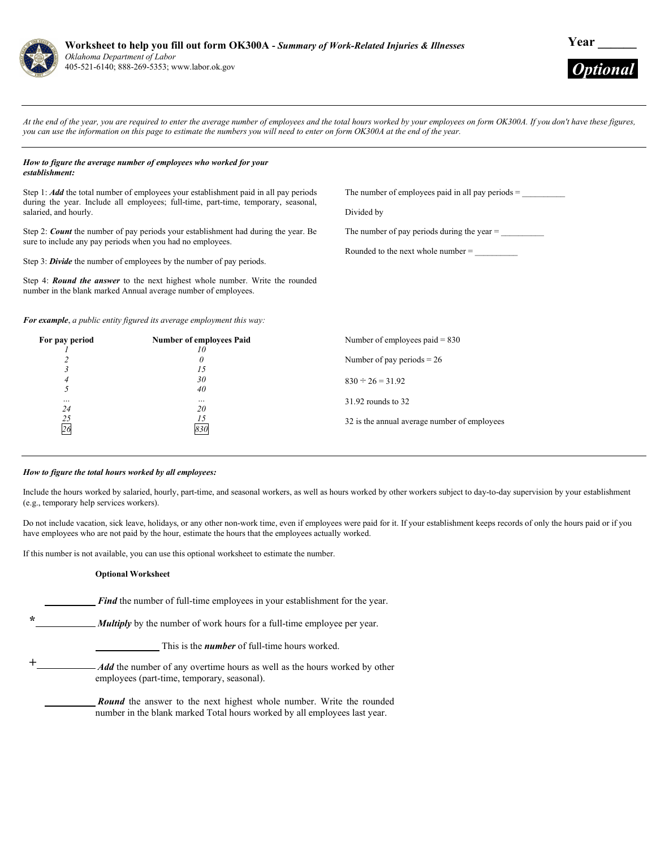



*At the end of the year, you are required to enter the average number of employees and the total hours worked by your employees on form OK300A. If you don't have these figures, you can use the information on this page to estimate the numbers you will need to enter on form OK300A at the end of the year.*

#### *How to figure the average number of employees who worked for your establishment:* Step 1: *Add* the total number of employees your establishment paid in all pay periods during the year. Include all employees; full-time, part-time, temporary, seasonal, salaried, and hourly. Step 2: *Count* the number of pay periods your establishment had during the year. Be sure to include any pay periods when you had no employees. Step 3: *Divide* the number of employees by the number of pay periods. Step 4: *Round the answer* to the next highest whole number. Write the rounded number in the blank marked Annual average number of employees. The number of employees paid in all pay periods  $=$ Divided by The number of pay periods during the year  $=$ Rounded to the next whole number = *For example*, *a public entity figured its average employment this way:* **For pay period Number of employees Paid** *1 10 2 0 3 15 4 30 5 40* Number of employees paid = 830 Number of pay periods = 26  $830 \div 26 = 31.92$

#### *How to figure the total hours worked by all employees:*

*… … 24 20 25 15 26 830*

Include the hours worked by salaried, hourly, part-time, and seasonal workers, as well as hours worked by other workers subject to day-to-day supervision by your establishment (e.g., temporary help services workers).

31.92 rounds to 32

32 is the annual average number of employees

Do not include vacation, sick leave, holidays, or any other non-work time, even if employees were paid for it. If your establishment keeps records of only the hours paid or if you have employees who are not paid by the hour, estimate the hours that the employees actually worked.

If this number is not available, you can use this optional worksheet to estimate the number.

#### **Optional Worksheet**

*Find* the number of full-time employees in your establishment for the year.

**\*** *Multiply* by the number of work hours for a full-time employee per year.

This is the *number* of full-time hours worked.

**+** *Add* the number of any overtime hours as well as the hours worked by other employees (part-time, temporary, seasonal).

> *Round* the answer to the next highest whole number. Write the rounded number in the blank marked Total hours worked by all employees last year.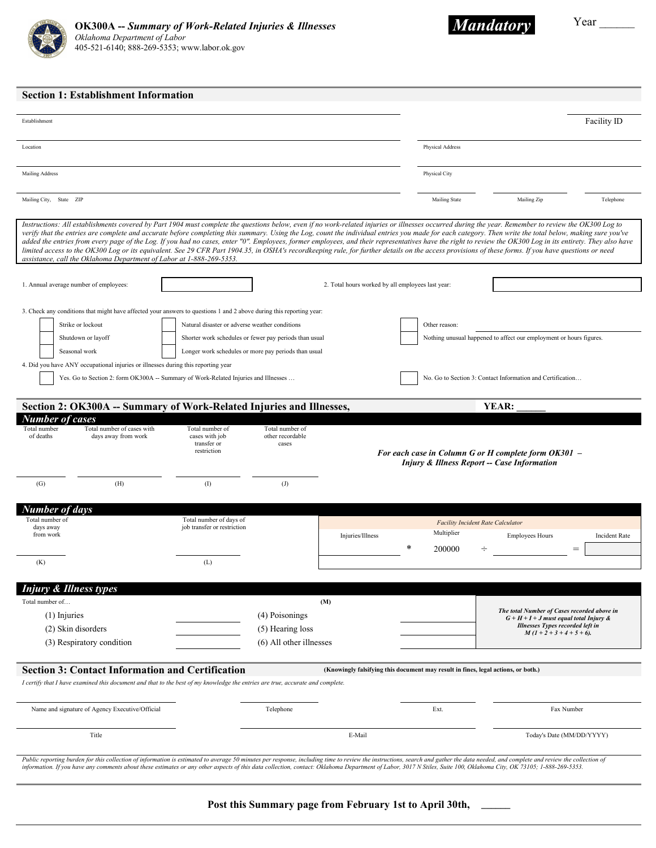

| Establishment                                                                                                      |                                                                                   |                                                                                                                                                                                                                                                                                                                                                                                                                                                                                                                                                                                                                                                                                                                                                                                                                                                                                                                 |                                                        |                                                                                   |   |                                          |       |                                                                                                                | Facility ID               |
|--------------------------------------------------------------------------------------------------------------------|-----------------------------------------------------------------------------------|-----------------------------------------------------------------------------------------------------------------------------------------------------------------------------------------------------------------------------------------------------------------------------------------------------------------------------------------------------------------------------------------------------------------------------------------------------------------------------------------------------------------------------------------------------------------------------------------------------------------------------------------------------------------------------------------------------------------------------------------------------------------------------------------------------------------------------------------------------------------------------------------------------------------|--------------------------------------------------------|-----------------------------------------------------------------------------------|---|------------------------------------------|-------|----------------------------------------------------------------------------------------------------------------|---------------------------|
| Location                                                                                                           |                                                                                   |                                                                                                                                                                                                                                                                                                                                                                                                                                                                                                                                                                                                                                                                                                                                                                                                                                                                                                                 |                                                        |                                                                                   |   | Physical Address                         |       |                                                                                                                |                           |
| Mailing Address                                                                                                    |                                                                                   |                                                                                                                                                                                                                                                                                                                                                                                                                                                                                                                                                                                                                                                                                                                                                                                                                                                                                                                 |                                                        |                                                                                   |   | Physical City                            |       |                                                                                                                |                           |
| Mailing City, State ZIP                                                                                            |                                                                                   |                                                                                                                                                                                                                                                                                                                                                                                                                                                                                                                                                                                                                                                                                                                                                                                                                                                                                                                 |                                                        |                                                                                   |   | <b>Mailing State</b>                     |       | Mailing Zip                                                                                                    | Telephone                 |
|                                                                                                                    |                                                                                   | Instructions: All establishments covered by Part 1904 must complete the questions below, even if no work-related injuries or illnesses occurred during the year. Remember to review the OK300 Log to<br>verify that the entries are complete and accurate before completing this summary. Using the Log, count the individual entries you made for each category. Then write the total below, making sure you've<br>added the entries from every page of the Log. If you had no cases, enter "0". Employees, former employees, and their representatives have the right to review the OK300 Log in its entirety. They also have<br>limited access to the OK300 Log or its equivalent. See 29 CFR Part 1904.35, in OSHA's recordkeeping rule, for further details on the access provisions of these forms. If you have questions or need<br>assistance, call the Oklahoma Department of Labor at 1-888-269-5353. |                                                        |                                                                                   |   |                                          |       |                                                                                                                |                           |
| 1. Annual average number of employees:                                                                             |                                                                                   |                                                                                                                                                                                                                                                                                                                                                                                                                                                                                                                                                                                                                                                                                                                                                                                                                                                                                                                 |                                                        | 2. Total hours worked by all employees last year:                                 |   |                                          |       |                                                                                                                |                           |
|                                                                                                                    |                                                                                   | 3. Check any conditions that might have affected your answers to questions 1 and 2 above during this reporting year:                                                                                                                                                                                                                                                                                                                                                                                                                                                                                                                                                                                                                                                                                                                                                                                            |                                                        |                                                                                   |   |                                          |       |                                                                                                                |                           |
| Strike or lockout                                                                                                  |                                                                                   | Natural disaster or adverse weather conditions                                                                                                                                                                                                                                                                                                                                                                                                                                                                                                                                                                                                                                                                                                                                                                                                                                                                  |                                                        |                                                                                   |   | Other reason:                            |       |                                                                                                                |                           |
| Shutdown or layoff                                                                                                 |                                                                                   |                                                                                                                                                                                                                                                                                                                                                                                                                                                                                                                                                                                                                                                                                                                                                                                                                                                                                                                 | Shorter work schedules or fewer pay periods than usual |                                                                                   |   |                                          |       | Nothing unusual happened to affect our employment or hours figures.                                            |                           |
| Seasonal work                                                                                                      |                                                                                   |                                                                                                                                                                                                                                                                                                                                                                                                                                                                                                                                                                                                                                                                                                                                                                                                                                                                                                                 | Longer work schedules or more pay periods than usual   |                                                                                   |   |                                          |       |                                                                                                                |                           |
|                                                                                                                    | 4. Did you have ANY occupational injuries or illnesses during this reporting year |                                                                                                                                                                                                                                                                                                                                                                                                                                                                                                                                                                                                                                                                                                                                                                                                                                                                                                                 |                                                        |                                                                                   |   |                                          |       |                                                                                                                |                           |
|                                                                                                                    |                                                                                   |                                                                                                                                                                                                                                                                                                                                                                                                                                                                                                                                                                                                                                                                                                                                                                                                                                                                                                                 |                                                        |                                                                                   |   |                                          |       |                                                                                                                |                           |
|                                                                                                                    |                                                                                   | Yes. Go to Section 2: form OK300A -- Summary of Work-Related Injuries and Illnesses                                                                                                                                                                                                                                                                                                                                                                                                                                                                                                                                                                                                                                                                                                                                                                                                                             |                                                        |                                                                                   |   |                                          |       | No. Go to Section 3: Contact Information and Certification                                                     |                           |
|                                                                                                                    |                                                                                   |                                                                                                                                                                                                                                                                                                                                                                                                                                                                                                                                                                                                                                                                                                                                                                                                                                                                                                                 |                                                        |                                                                                   |   |                                          |       |                                                                                                                |                           |
|                                                                                                                    |                                                                                   |                                                                                                                                                                                                                                                                                                                                                                                                                                                                                                                                                                                                                                                                                                                                                                                                                                                                                                                 |                                                        |                                                                                   |   |                                          |       |                                                                                                                |                           |
|                                                                                                                    |                                                                                   | Section 2: OK300A -- Summary of Work-Related Injuries and Illnesses,                                                                                                                                                                                                                                                                                                                                                                                                                                                                                                                                                                                                                                                                                                                                                                                                                                            |                                                        |                                                                                   |   |                                          | YEAR: |                                                                                                                |                           |
| of deaths                                                                                                          | Total number of cases with<br>days away from work                                 | Total number of<br>cases with job<br>transfer or<br>restriction                                                                                                                                                                                                                                                                                                                                                                                                                                                                                                                                                                                                                                                                                                                                                                                                                                                 | Total number of<br>other recordable<br>cases           |                                                                                   |   |                                          |       | For each case in Column G or H complete form OK301 –<br><b>Injury &amp; Illness Report -- Case Information</b> |                           |
| (G)                                                                                                                | (H)                                                                               | (1)                                                                                                                                                                                                                                                                                                                                                                                                                                                                                                                                                                                                                                                                                                                                                                                                                                                                                                             | (J)                                                    |                                                                                   |   |                                          |       |                                                                                                                |                           |
|                                                                                                                    |                                                                                   |                                                                                                                                                                                                                                                                                                                                                                                                                                                                                                                                                                                                                                                                                                                                                                                                                                                                                                                 |                                                        |                                                                                   |   |                                          |       |                                                                                                                |                           |
| Total number of<br>days away                                                                                       |                                                                                   | Total number of days of<br>job transfer or restriction                                                                                                                                                                                                                                                                                                                                                                                                                                                                                                                                                                                                                                                                                                                                                                                                                                                          |                                                        |                                                                                   |   | <b>Facility Incident Rate Calculator</b> |       |                                                                                                                |                           |
| from work                                                                                                          |                                                                                   |                                                                                                                                                                                                                                                                                                                                                                                                                                                                                                                                                                                                                                                                                                                                                                                                                                                                                                                 |                                                        | Injuries/Illness                                                                  |   | Multiplier                               |       | <b>Employees Hours</b>                                                                                         | <b>Incident Rate</b>      |
|                                                                                                                    |                                                                                   |                                                                                                                                                                                                                                                                                                                                                                                                                                                                                                                                                                                                                                                                                                                                                                                                                                                                                                                 |                                                        |                                                                                   | * | 200000                                   |       |                                                                                                                | $=$                       |
| (K)                                                                                                                |                                                                                   | (L)                                                                                                                                                                                                                                                                                                                                                                                                                                                                                                                                                                                                                                                                                                                                                                                                                                                                                                             |                                                        |                                                                                   |   |                                          |       |                                                                                                                |                           |
|                                                                                                                    |                                                                                   |                                                                                                                                                                                                                                                                                                                                                                                                                                                                                                                                                                                                                                                                                                                                                                                                                                                                                                                 |                                                        |                                                                                   |   |                                          |       |                                                                                                                |                           |
|                                                                                                                    |                                                                                   |                                                                                                                                                                                                                                                                                                                                                                                                                                                                                                                                                                                                                                                                                                                                                                                                                                                                                                                 |                                                        |                                                                                   |   |                                          |       |                                                                                                                |                           |
|                                                                                                                    |                                                                                   |                                                                                                                                                                                                                                                                                                                                                                                                                                                                                                                                                                                                                                                                                                                                                                                                                                                                                                                 |                                                        | (M)                                                                               |   |                                          |       | The total Number of Cases recorded above in                                                                    |                           |
| Total number<br>$(1)$ Injuries                                                                                     |                                                                                   |                                                                                                                                                                                                                                                                                                                                                                                                                                                                                                                                                                                                                                                                                                                                                                                                                                                                                                                 | (4) Poisonings                                         |                                                                                   |   |                                          |       | $G + H + I + J$ must equal total Injury &                                                                      |                           |
| (2) Skin disorders                                                                                                 |                                                                                   |                                                                                                                                                                                                                                                                                                                                                                                                                                                                                                                                                                                                                                                                                                                                                                                                                                                                                                                 | (5) Hearing loss                                       |                                                                                   |   |                                          |       | <b>Illnesses Types recorded left in</b><br>$M(I+2+3+4+5+6)$ .                                                  |                           |
| <b>Number of cases</b><br>Number of days<br>Injury & Illness types<br>Total number of<br>(3) Respiratory condition |                                                                                   |                                                                                                                                                                                                                                                                                                                                                                                                                                                                                                                                                                                                                                                                                                                                                                                                                                                                                                                 | (6) All other illnesses                                |                                                                                   |   |                                          |       |                                                                                                                |                           |
|                                                                                                                    |                                                                                   | <b>Section 3: Contact Information and Certification</b><br>I certify that I have examined this document and that to the best of my knowledge the entries are true, accurate and complete.                                                                                                                                                                                                                                                                                                                                                                                                                                                                                                                                                                                                                                                                                                                       |                                                        | (Knowingly falsifying this document may result in fines, legal actions, or both.) |   |                                          |       |                                                                                                                |                           |
|                                                                                                                    | Name and signature of Agency Executive/Official                                   |                                                                                                                                                                                                                                                                                                                                                                                                                                                                                                                                                                                                                                                                                                                                                                                                                                                                                                                 | Telephone                                              |                                                                                   |   | Ext.                                     |       |                                                                                                                | Fax Number                |
|                                                                                                                    | Title                                                                             |                                                                                                                                                                                                                                                                                                                                                                                                                                                                                                                                                                                                                                                                                                                                                                                                                                                                                                                 |                                                        | E-Mail                                                                            |   |                                          |       |                                                                                                                | Today's Date (MM/DD/YYYY) |
|                                                                                                                    |                                                                                   | Public reporting burden for this collection of information is estimated to average 50 minutes per response, including time to review the instructions, search and gather the data needed, and complete and review the collecti                                                                                                                                                                                                                                                                                                                                                                                                                                                                                                                                                                                                                                                                                  |                                                        |                                                                                   |   |                                          |       |                                                                                                                |                           |

Post this Summary page from February 1st to April 30th,